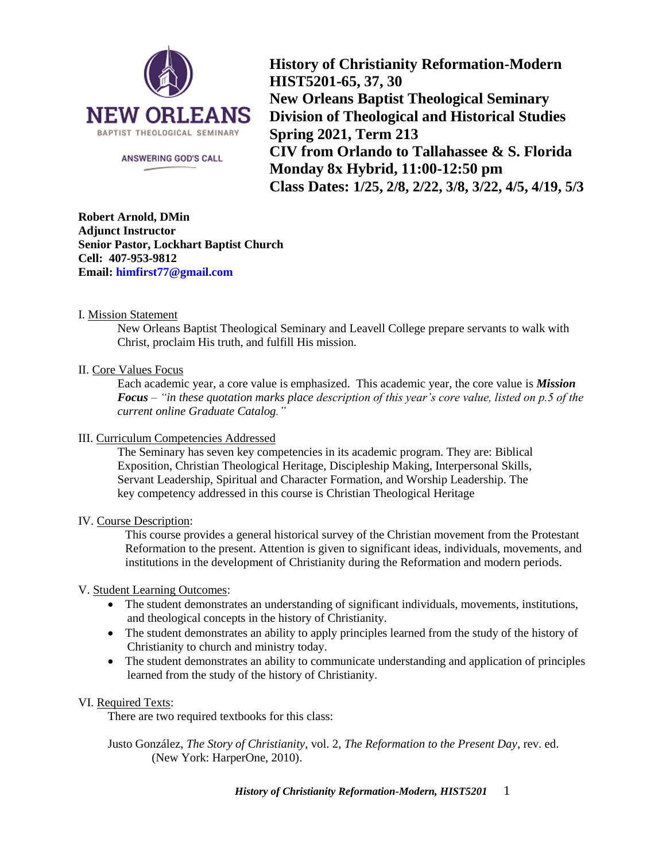

ANSWERING GOD'S CALL

**History of Christianity Reformation-Modern HIST5201-65, 37, 30 New Orleans Baptist Theological Seminary Division of Theological and Historical Studies Spring 2021, Term 213 CIV from Orlando to Tallahassee & S. Florida Monday 8x Hybrid, 11:00-12:50 pm Class Dates: 1/25, 2/8, 2/22, 3/8, 3/22, 4/5, 4/19, 5/3**

**Robert Arnold, DMin Adjunct Instructor Senior Pastor, Lockhart Baptist Church Cell: 407-953-9812 Email: [himfirst77@gmail.com](mailto:himfirst77@gmail.com)**

## I. Mission Statement

New Orleans Baptist Theological Seminary and Leavell College prepare servants to walk with Christ, proclaim His truth, and fulfill His mission.

## II. Core Values Focus

Each academic year, a core value is emphasized. This academic year, the core value is *Mission Focus – "in these quotation marks place description of this year's core value, listed on p.5 of the current online Graduate Catalog."*

## III. Curriculum Competencies Addressed

The Seminary has seven key competencies in its academic program. They are: Biblical Exposition, Christian Theological Heritage, Discipleship Making, Interpersonal Skills, Servant Leadership, Spiritual and Character Formation, and Worship Leadership. The key competency addressed in this course is Christian Theological Heritage

## IV. Course Description:

This course provides a general historical survey of the Christian movement from the Protestant Reformation to the present. Attention is given to significant ideas, individuals, movements, and institutions in the development of Christianity during the Reformation and modern periods.

## V. Student Learning Outcomes:

- The student demonstrates an understanding of significant individuals, movements, institutions, and theological concepts in the history of Christianity.
- The student demonstrates an ability to apply principles learned from the study of the history of Christianity to church and ministry today.
- The student demonstrates an ability to communicate understanding and application of principles learned from the study of the history of Christianity.

## VI. Required Texts:

There are two required textbooks for this class:

Justo González, *The Story of Christianity*, vol. 2, *The Reformation to the Present Day*, rev. ed. (New York: HarperOne, 2010).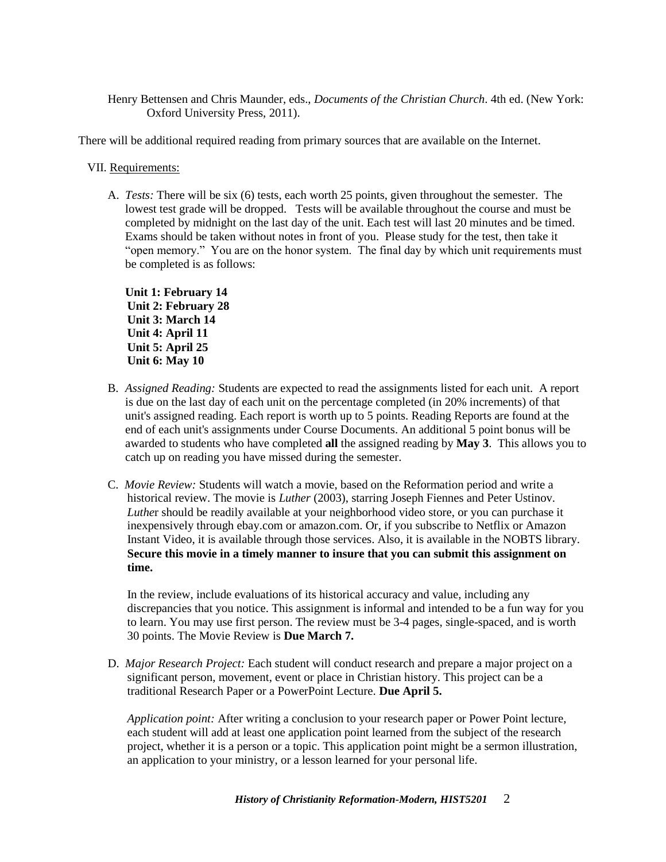Henry Bettensen and Chris Maunder, eds., *Documents of the Christian Church*. 4th ed. (New York: Oxford University Press, 2011).

There will be additional required reading from primary sources that are available on the Internet.

#### VII. Requirements:

A. *Tests:* There will be six (6) tests, each worth 25 points, given throughout the semester. The lowest test grade will be dropped. Tests will be available throughout the course and must be completed by midnight on the last day of the unit. Each test will last 20 minutes and be timed. Exams should be taken without notes in front of you. Please study for the test, then take it "open memory." You are on the honor system. The final day by which unit requirements must be completed is as follows:

**Unit 1: February 14 Unit 2: February 28 Unit 3: March 14 Unit 4: April 11 Unit 5: April 25 Unit 6: May 10**

- B. *Assigned Reading:* Students are expected to read the assignments listed for each unit. A report is due on the last day of each unit on the percentage completed (in 20% increments) of that unit's assigned reading. Each report is worth up to 5 points. Reading Reports are found at the end of each unit's assignments under Course Documents. An additional 5 point bonus will be awarded to students who have completed **all** the assigned reading by **May 3**. This allows you to catch up on reading you have missed during the semester.
- C. *Movie Review:* Students will watch a movie, based on the Reformation period and write a historical review. The movie is *Luther* (2003), starring Joseph Fiennes and Peter Ustinov. *Luthe*r should be readily available at your neighborhood video store, or you can purchase it inexpensively through ebay.com or amazon.com. Or, if you subscribe to Netflix or Amazon Instant Video, it is available through those services. Also, it is available in the NOBTS library. **Secure this movie in a timely manner to insure that you can submit this assignment on time.**

In the review, include evaluations of its historical accuracy and value, including any discrepancies that you notice. This assignment is informal and intended to be a fun way for you to learn. You may use first person. The review must be 3-4 pages, single-spaced, and is worth 30 points. The Movie Review is **Due March 7.**

D. *Major Research Project:* Each student will conduct research and prepare a major project on a significant person, movement, event or place in Christian history. This project can be a traditional Research Paper or a PowerPoint Lecture. **Due April 5.**

*Application point:* After writing a conclusion to your research paper or Power Point lecture, each student will add at least one application point learned from the subject of the research project, whether it is a person or a topic. This application point might be a sermon illustration, an application to your ministry, or a lesson learned for your personal life.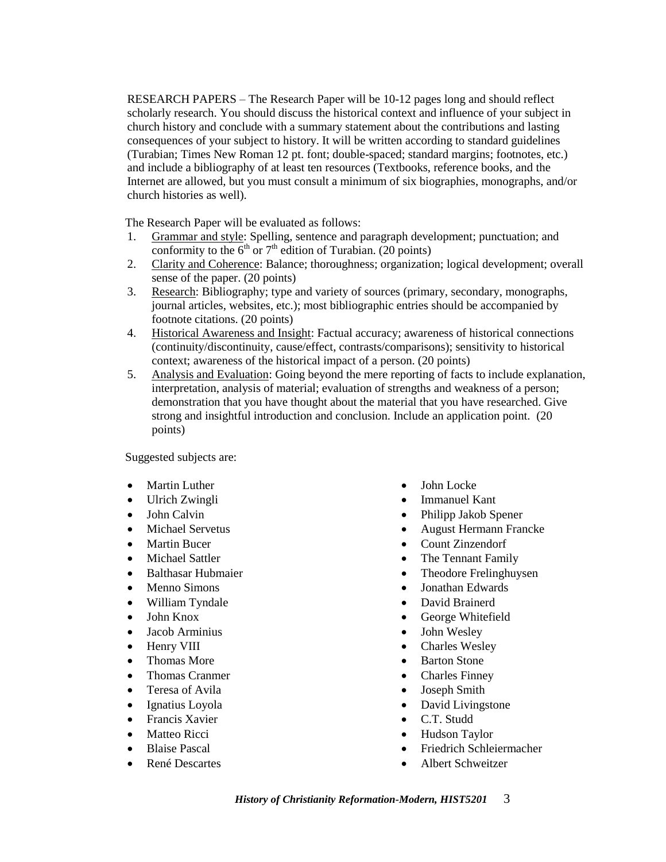RESEARCH PAPERS – The Research Paper will be 10-12 pages long and should reflect scholarly research. You should discuss the historical context and influence of your subject in church history and conclude with a summary statement about the contributions and lasting consequences of your subject to history. It will be written according to standard guidelines (Turabian; Times New Roman 12 pt. font; double-spaced; standard margins; footnotes, etc.) and include a bibliography of at least ten resources (Textbooks, reference books, and the Internet are allowed, but you must consult a minimum of six biographies, monographs, and/or church histories as well).

The Research Paper will be evaluated as follows:

- 1. Grammar and style: Spelling, sentence and paragraph development; punctuation; and conformity to the  $6<sup>th</sup>$  or  $7<sup>th</sup>$  edition of Turabian. (20 points)
- 2. Clarity and Coherence: Balance; thoroughness; organization; logical development; overall sense of the paper. (20 points)
- 3. Research: Bibliography; type and variety of sources (primary, secondary, monographs, journal articles, websites, etc.); most bibliographic entries should be accompanied by footnote citations. (20 points)
- 4. Historical Awareness and Insight: Factual accuracy; awareness of historical connections (continuity/discontinuity, cause/effect, contrasts/comparisons); sensitivity to historical context; awareness of the historical impact of a person. (20 points)
- 5. Analysis and Evaluation: Going beyond the mere reporting of facts to include explanation, interpretation, analysis of material; evaluation of strengths and weakness of a person; demonstration that you have thought about the material that you have researched. Give strong and insightful introduction and conclusion. Include an application point. (20 points)

Suggested subjects are:

- Martin Luther
- Ulrich Zwingli
- John Calvin
- Michael Servetus
- Martin Bucer
- Michael Sattler
- Balthasar Hubmaier
- Menno Simons
- William Tyndale
- John Knox
- Jacob Arminius
- Henry VIII
- Thomas More
- Thomas Cranmer
- Teresa of Avila
- Ignatius Loyola
- Francis Xavier
- Matteo Ricci
- Blaise Pascal
- René Descartes
- John Locke
- Immanuel Kant
- Philipp Jakob Spener
- August Hermann Francke
- Count Zinzendorf
- The Tennant Family
- Theodore Frelinghuysen
- Jonathan Edwards
- David Brainerd
- George Whitefield
- John Wesley
- Charles Wesley
- Barton Stone
- Charles Finney
- Joseph Smith
- David Livingstone
- C.T. Studd
- Hudson Taylor
- Friedrich Schleiermacher
- Albert Schweitzer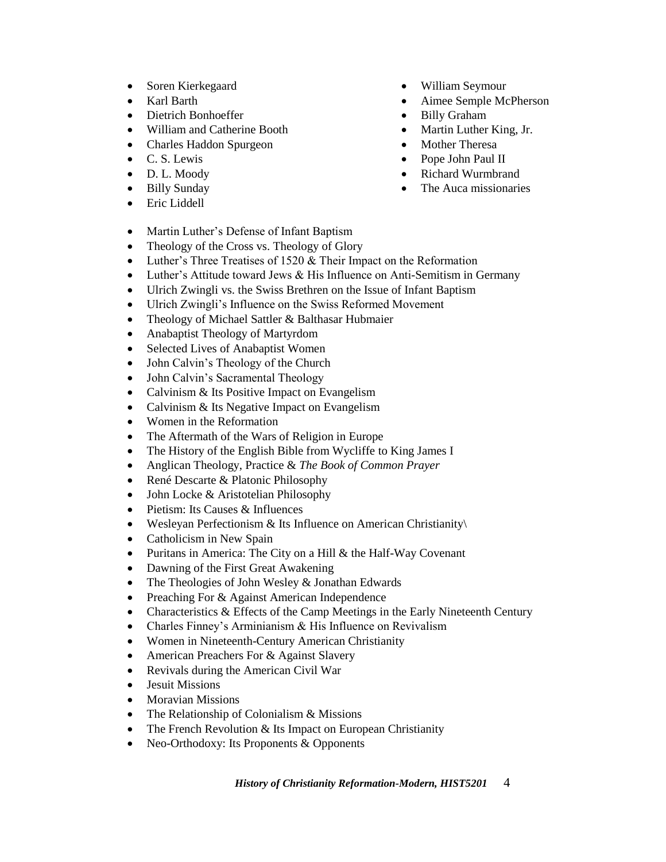- Soren Kierkegaard
- Karl Barth
- Dietrich Bonhoeffer
- William and Catherine Booth
- Charles Haddon Spurgeon
- C. S. Lewis
- D. L. Moody
- Billy Sunday
- Eric Liddell
- Martin Luther's Defense of Infant Baptism
- Theology of the Cross vs. Theology of Glory
- Luther's Three Treatises of 1520 & Their Impact on the Reformation
- Luther's Attitude toward Jews & His Influence on Anti-Semitism in Germany
- Ulrich Zwingli vs. the Swiss Brethren on the Issue of Infant Baptism
- Ulrich Zwingli's Influence on the Swiss Reformed Movement
- Theology of Michael Sattler & Balthasar Hubmaier
- Anabaptist Theology of Martyrdom
- Selected Lives of Anabaptist Women
- John Calvin's Theology of the Church
- John Calvin's Sacramental Theology
- Calvinism & Its Positive Impact on Evangelism
- Calvinism & Its Negative Impact on Evangelism
- Women in the Reformation
- The Aftermath of the Wars of Religion in Europe
- The History of the English Bible from Wycliffe to King James I
- Anglican Theology, Practice & *The Book of Common Prayer*
- René Descarte & Platonic Philosophy
- John Locke & Aristotelian Philosophy
- Pietism: Its Causes & Influences
- Wesleyan Perfectionism & Its Influence on American Christianity\
- Catholicism in New Spain
- Puritans in America: The City on a Hill & the Half-Way Covenant
- Dawning of the First Great Awakening
- The Theologies of John Wesley & Jonathan Edwards
- Preaching For & Against American Independence
- Characteristics & Effects of the Camp Meetings in the Early Nineteenth Century
- Charles Finney's Arminianism & His Influence on Revivalism
- Women in Nineteenth-Century American Christianity
- American Preachers For & Against Slavery
- Revivals during the American Civil War
- Jesuit Missions
- Moravian Missions
- The Relationship of Colonialism & Missions
- The French Revolution & Its Impact on European Christianity
- Neo-Orthodoxy: Its Proponents & Opponents
- William Seymour
- Aimee Semple McPherson
- Billy Graham
- Martin Luther King, Jr.
- Mother Theresa
- Pope John Paul II
- Richard Wurmbrand
- The Auca missionaries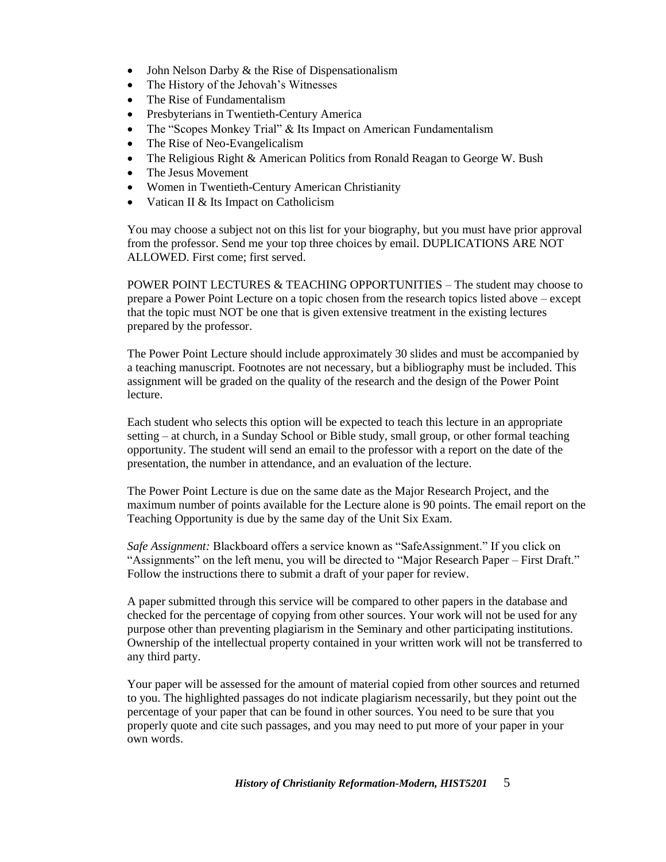- John Nelson Darby & the Rise of Dispensationalism
- The History of the Jehovah's Witnesses
- The Rise of Fundamentalism
- Presbyterians in Twentieth-Century America
- The "Scopes Monkey Trial" & Its Impact on American Fundamentalism
- The Rise of Neo-Evangelicalism
- The Religious Right & American Politics from Ronald Reagan to George W. Bush
- The Jesus Movement
- Women in Twentieth-Century American Christianity
- Vatican II & Its Impact on Catholicism

You may choose a subject not on this list for your biography, but you must have prior approval from the professor. Send me your top three choices by email. DUPLICATIONS ARE NOT ALLOWED. First come; first served.

POWER POINT LECTURES & TEACHING OPPORTUNITIES – The student may choose to prepare a Power Point Lecture on a topic chosen from the research topics listed above – except that the topic must NOT be one that is given extensive treatment in the existing lectures prepared by the professor.

The Power Point Lecture should include approximately 30 slides and must be accompanied by a teaching manuscript. Footnotes are not necessary, but a bibliography must be included. This assignment will be graded on the quality of the research and the design of the Power Point lecture.

Each student who selects this option will be expected to teach this lecture in an appropriate setting – at church, in a Sunday School or Bible study, small group, or other formal teaching opportunity. The student will send an email to the professor with a report on the date of the presentation, the number in attendance, and an evaluation of the lecture.

The Power Point Lecture is due on the same date as the Major Research Project, and the maximum number of points available for the Lecture alone is 90 points. The email report on the Teaching Opportunity is due by the same day of the Unit Six Exam.

*Safe Assignment:* Blackboard offers a service known as "SafeAssignment." If you click on "Assignments" on the left menu, you will be directed to "Major Research Paper – First Draft." Follow the instructions there to submit a draft of your paper for review.

A paper submitted through this service will be compared to other papers in the database and checked for the percentage of copying from other sources. Your work will not be used for any purpose other than preventing plagiarism in the Seminary and other participating institutions. Ownership of the intellectual property contained in your written work will not be transferred to any third party.

Your paper will be assessed for the amount of material copied from other sources and returned to you. The highlighted passages do not indicate plagiarism necessarily, but they point out the percentage of your paper that can be found in other sources. You need to be sure that you properly quote and cite such passages, and you may need to put more of your paper in your own words.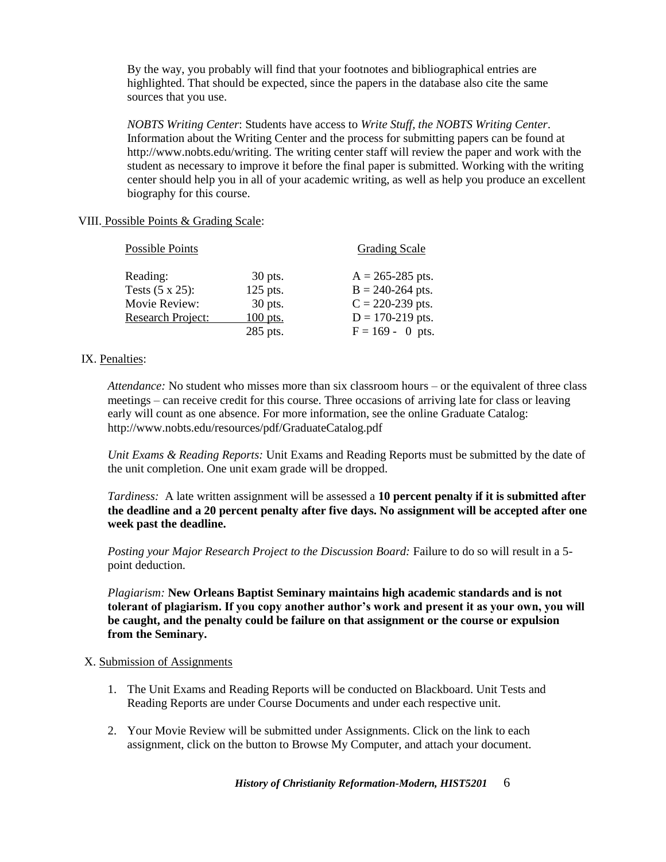By the way, you probably will find that your footnotes and bibliographical entries are highlighted. That should be expected, since the papers in the database also cite the same sources that you use.

*NOBTS Writing Center*: Students have access to *Write Stuff, the NOBTS Writing Center*. Information about the Writing Center and the process for submitting papers can be found at [http://www.nobts.edu/writing.](http://www.nobts.edu/writing) The writing center staff will review the paper and work with the student as necessary to improve it before the final paper is submitted. Working with the writing center should help you in all of your academic writing, as well as help you produce an excellent biography for this course.

# VIII. Possible Points & Grading Scale:

| <b>Possible Points</b>   |           | <b>Grading Scale</b> |
|--------------------------|-----------|----------------------|
| Reading:                 | $30$ pts. | $A = 265 - 285$ pts. |
| Tests $(5 \times 25)$ :  | 125 pts.  | $B = 240-264$ pts.   |
| Movie Review:            | 30 pts.   | $C = 220-239$ pts.   |
| <b>Research Project:</b> | 100 pts.  | $D = 170-219$ pts.   |
|                          | 285 pts.  | $F = 169 - 0$ pts.   |

## IX. Penalties:

*Attendance:* No student who misses more than six classroom hours – or the equivalent of three class meetings – can receive credit for this course. Three occasions of arriving late for class or leaving early will count as one absence. For more information, see the online Graduate Catalog: <http://www.nobts.edu/resources/pdf/GraduateCatalog.pdf>

*Unit Exams & Reading Reports:* Unit Exams and Reading Reports must be submitted by the date of the unit completion. One unit exam grade will be dropped.

*Tardiness:* A late written assignment will be assessed a **10 percent penalty if it is submitted after the deadline and a 20 percent penalty after five days. No assignment will be accepted after one week past the deadline.**

*Posting your Major Research Project to the Discussion Board: Failure to do so will result in a 5*point deduction.

*Plagiarism:* **New Orleans Baptist Seminary maintains high academic standards and is not tolerant of plagiarism. If you copy another author's work and present it as your own, you will be caught, and the penalty could be failure on that assignment or the course or expulsion from the Seminary.**

## X. Submission of Assignments

- 1. The Unit Exams and Reading Reports will be conducted on Blackboard. Unit Tests and Reading Reports are under Course Documents and under each respective unit.
- 2. Your Movie Review will be submitted under Assignments. Click on the link to each assignment, click on the button to Browse My Computer, and attach your document.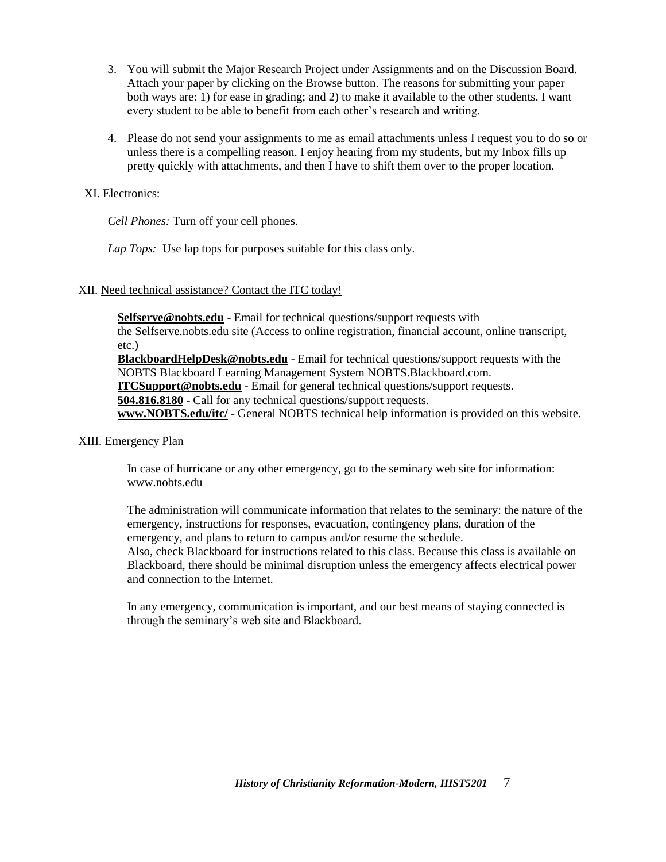- 3. You will submit the Major Research Project under Assignments and on the Discussion Board. Attach your paper by clicking on the Browse button. The reasons for submitting your paper both ways are: 1) for ease in grading; and 2) to make it available to the other students. I want every student to be able to benefit from each other's research and writing.
- 4. Please do not send your assignments to me as email attachments unless I request you to do so or unless there is a compelling reason. I enjoy hearing from my students, but my Inbox fills up pretty quickly with attachments, and then I have to shift them over to the proper location.

## XI. Electronics:

*Cell Phones:* Turn off your cell phones.

*Lap Tops:* Use lap tops for purposes suitable for this class only.

# XII. Need technical assistance? Contact the ITC today!

**[Selfserve@nobts.edu](mailto:Selfserve@nobts.edu)** - Email for technical questions/support requests with the [Selfserve.nobts.edu](http://selfserve.nobts.edu/) site (Access to online registration, financial account, online transcript, etc.)

**[BlackboardHelpDesk@nobts.edu](mailto:Blackboardhelpdesk@nobts.edu)** - Email for technical questions/support requests with the NOBTS Blackboard Learning Management System [NOBTS.Blackboard.com.](http://nobts.blackboard.com/)

**[ITCSupport@nobts.edu](mailto:ITCSupport@nobts.edu)** - Email for general technical questions/support requests.

**[504.816.8180](tel:504.816.8180)** - Call for any technical questions/support requests.

**[www.NOBTS.edu/itc/](http://www.nobts.edu/itc/)** - General NOBTS technical help information is provided on this website.

## XIII. Emergency Plan

In case of hurricane or any other emergency, go to the seminary web site for information: [www.nobts.edu](http://www.nobts.edu/)

The administration will communicate information that relates to the seminary: the nature of the emergency, instructions for responses, evacuation, contingency plans, duration of the emergency, and plans to return to campus and/or resume the schedule. Also, check Blackboard for instructions related to this class. Because this class is available on

Blackboard, there should be minimal disruption unless the emergency affects electrical power and connection to the Internet.

In any emergency, communication is important, and our best means of staying connected is through the seminary's web site and Blackboard.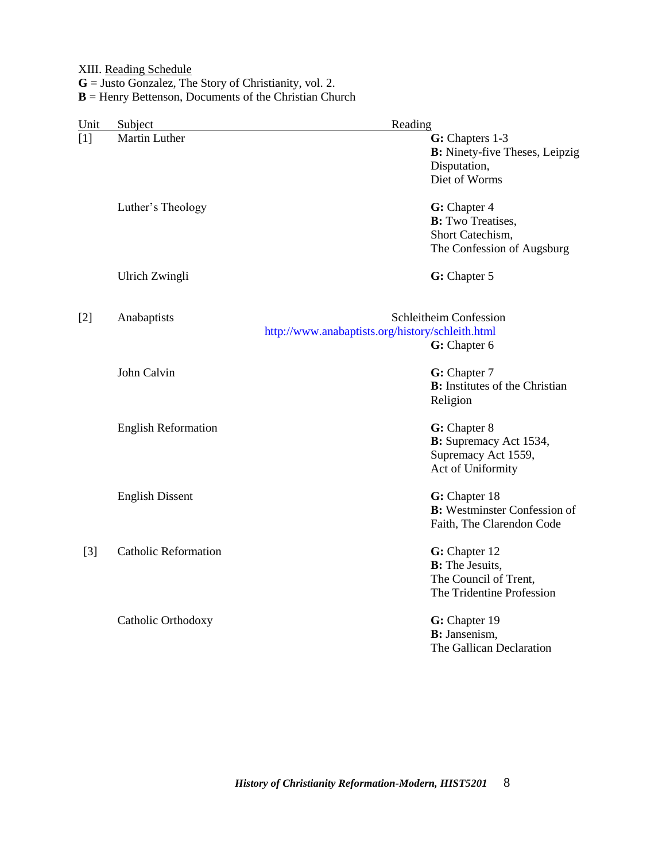XIII. Reading Schedule

**G** = Justo Gonzalez, The Story of Christianity, vol. 2.

**B** = Henry Bettenson, Documents of the Christian Church

| Unit  | Subject                     | Reading                                                                                       |
|-------|-----------------------------|-----------------------------------------------------------------------------------------------|
| [1]   | Martin Luther               | G: Chapters 1-3<br><b>B:</b> Ninety-five Theses, Leipzig<br>Disputation,<br>Diet of Worms     |
|       | Luther's Theology           | G: Chapter 4<br><b>B:</b> Two Treatises,<br>Short Catechism,<br>The Confession of Augsburg    |
|       | Ulrich Zwingli              | G: Chapter 5                                                                                  |
| $[2]$ | Anabaptists                 | Schleitheim Confession<br>http://www.anabaptists.org/history/schleith.html<br>G: Chapter 6    |
|       | John Calvin                 | G: Chapter 7<br><b>B:</b> Institutes of the Christian<br>Religion                             |
|       | <b>English Reformation</b>  | G: Chapter 8<br>B: Supremacy Act 1534,<br>Supremacy Act 1559,<br>Act of Uniformity            |
|       | <b>English Dissent</b>      | G: Chapter 18<br><b>B:</b> Westminster Confession of<br>Faith, The Clarendon Code             |
| $[3]$ | <b>Catholic Reformation</b> | G: Chapter 12<br><b>B:</b> The Jesuits,<br>The Council of Trent,<br>The Tridentine Profession |
|       | Catholic Orthodoxy          | G: Chapter 19<br><b>B</b> : Jansenism,<br>The Gallican Declaration                            |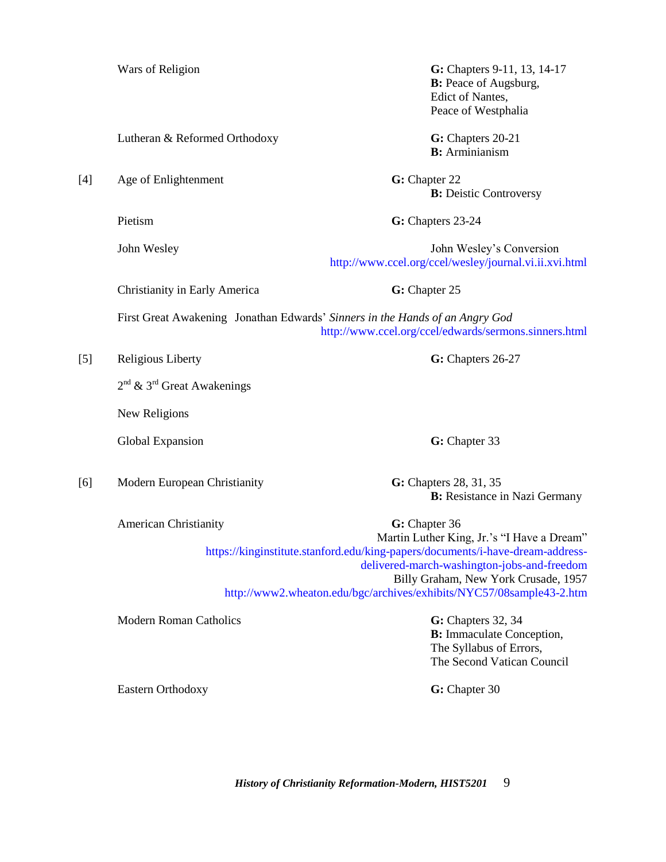Lutheran & Reformed Orthodoxy **G:** Chapters 20-21

[4] Age of Enlightenment **G:** Chapter 22

Wars of Religion **G:** Chapters 9-11, 13, 14-17 **B:** Peace of Augsburg, Edict of Nantes, Peace of Westphalia

**B:** Arminianism

**B:** Deistic Controversy

Pietism **G:** Chapters 23-24

John Wesley John Wesley's Conversion <http://www.ccel.org/ccel/wesley/journal.vi.ii.xvi.html>

Christianity in Early America **G:** Chapter 25

First Great Awakening Jonathan Edwards' *Sinners in the Hands of an Angry God* <http://www.ccel.org/ccel/edwards/sermons.sinners.html>

[5] Religious Liberty **G:** Chapters 26-27

 $2<sup>nd</sup>$  & 3<sup>rd</sup> Great Awakenings

New Religions

Global Expansion **G:** Chapter 33

[6] Modern European Christianity **G:** Chapters 28, 31, 35

**B:** Resistance in Nazi Germany

American Christianity **G:** Chapter 36 Martin Luther King, Jr.'s "I Have a Dream" [https://kinginstitute.stanford.edu/king-papers/documents/i-have-dream-address](https://kinginstitute.stanford.edu/king-papers/documents/i-have-dream-address-delivered-march-washington-jobs-and-freedom)[delivered-march-washington-jobs-and-freedom](https://kinginstitute.stanford.edu/king-papers/documents/i-have-dream-address-delivered-march-washington-jobs-and-freedom) Billy Graham, New York Crusade, 1957 <http://www2.wheaton.edu/bgc/archives/exhibits/NYC57/08sample43-2.htm>

Modern Roman Catholics **G:** Chapters 32, 34

**B:** Immaculate Conception, The Syllabus of Errors, The Second Vatican Council

Eastern Orthodoxy **G: Chapter 30** 

*History of Christianity Reformation-Modern, HIST5201* 9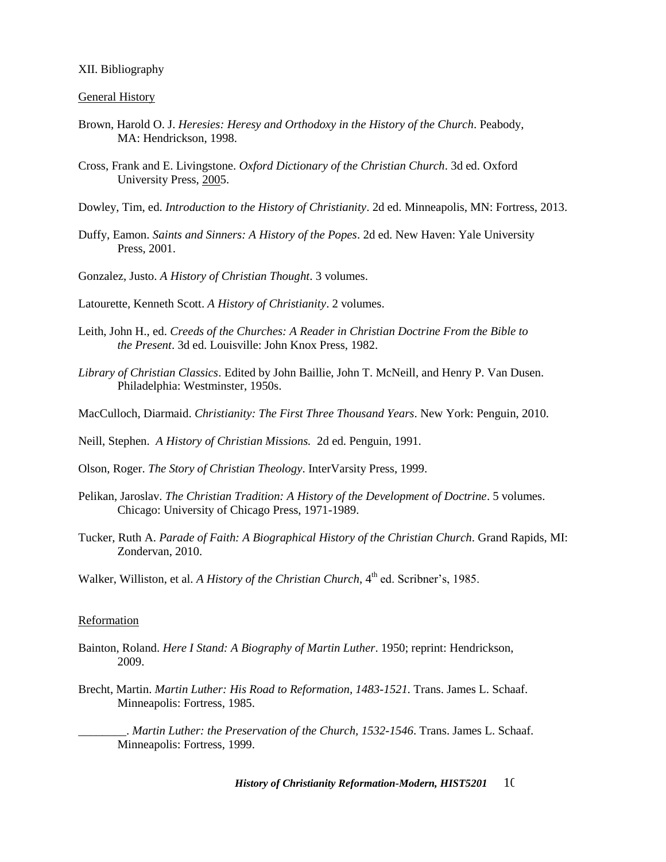#### XII. Bibliography

#### General History

- Brown, Harold O. J. *Heresies: Heresy and Orthodoxy in the History of the Church*. Peabody, MA: Hendrickson, 1998.
- Cross, Frank and E. Livingstone. *Oxford Dictionary of the Christian Church*. 3d ed. Oxford University Press, 2005.
- Dowley, Tim, ed. *Introduction to the History of Christianity*. 2d ed. Minneapolis, MN: Fortress, 2013.
- Duffy, Eamon. *Saints and Sinners: A History of the Popes*. 2d ed. New Haven: Yale University Press, 2001.

Gonzalez, Justo. *A History of Christian Thought*. 3 volumes.

Latourette, Kenneth Scott. *A History of Christianity*. 2 volumes.

- Leith, John H., ed. *Creeds of the Churches: A Reader in Christian Doctrine From the Bible to the Present*. 3d ed. Louisville: John Knox Press, 1982.
- *Library of Christian Classics*. Edited by John Baillie, John T. McNeill, and Henry P. Van Dusen. Philadelphia: Westminster, 1950s.
- MacCulloch, Diarmaid. *Christianity: The First Three Thousand Years*. New York: Penguin, 2010.
- Neill, Stephen. *A History of Christian Missions.* 2d ed. Penguin, 1991.
- Olson, Roger. *The Story of Christian Theology*. InterVarsity Press, 1999.
- Pelikan, Jaroslav. *The Christian Tradition: A History of the Development of Doctrine*. 5 volumes. Chicago: University of Chicago Press, 1971-1989.
- Tucker, Ruth A. *Parade of Faith: A Biographical History of the Christian Church*. Grand Rapids, MI: Zondervan, 2010.
- Walker, Williston, et al. *A History of the Christian Church*, 4<sup>th</sup> ed. Scribner's, 1985.

#### Reformation

- Bainton, Roland. *Here I Stand: A Biography of Martin Luther*. 1950; reprint: Hendrickson, 2009.
- Brecht, Martin. *Martin Luther: His Road to Reformation, 1483-1521.* Trans. James L. Schaaf. Minneapolis: Fortress, 1985.

\_\_\_\_\_\_\_\_. *Martin Luther: the Preservation of the Church, 1532-1546*. Trans. James L. Schaaf. Minneapolis: Fortress, 1999.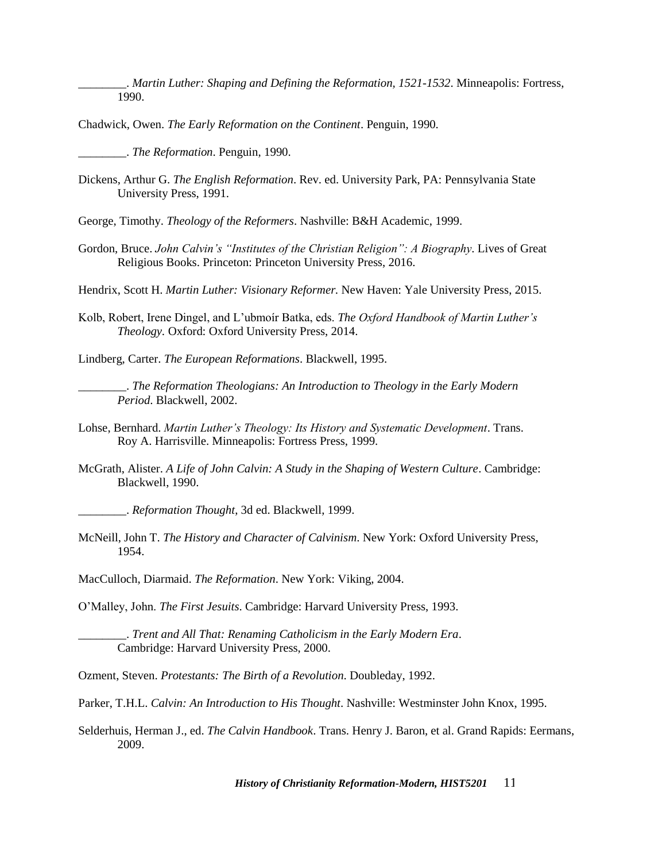\_\_\_\_\_\_\_\_. *Martin Luther: Shaping and Defining the Reformation, 1521-1532*. Minneapolis: Fortress, 1990.

Chadwick, Owen. *The Early Reformation on the Continent*. Penguin, 1990.

\_\_\_\_\_\_\_\_. *The Reformation*. Penguin, 1990.

Dickens, Arthur G. *The English Reformation*. Rev. ed. University Park, PA: Pennsylvania State University Press, 1991.

George, Timothy. *Theology of the Reformers*. Nashville: B&H Academic, 1999.

Gordon, Bruce. *John Calvin's "Institutes of the Christian Religion": A Biography*. Lives of Great Religious Books. Princeton: Princeton University Press, 2016.

Hendrix, Scott H. *Martin Luther: Visionary Reformer.* New Haven: Yale University Press, 2015.

Kolb, Robert, Irene Dingel, and L'ubmoír Batka, eds. *The Oxford Handbook of Martin Luther's Theology.* Oxford: Oxford University Press, 2014.

Lindberg, Carter. *The European Reformations*. Blackwell, 1995.

\_\_\_\_\_\_\_\_. *The Reformation Theologians: An Introduction to Theology in the Early Modern Period*. Blackwell, 2002.

- Lohse, Bernhard. *Martin Luther's Theology: Its History and Systematic Development*. Trans. Roy A. Harrisville. Minneapolis: Fortress Press, 1999.
- McGrath, Alister. *A Life of John Calvin: A Study in the Shaping of Western Culture*. Cambridge: Blackwell, 1990.

\_\_\_\_\_\_\_\_. *Reformation Thought*, 3d ed. Blackwell, 1999.

McNeill, John T. *The History and Character of Calvinism*. New York: Oxford University Press, 1954.

MacCulloch, Diarmaid. *The Reformation*. New York: Viking, 2004.

O'Malley, John. *The First Jesuits*. Cambridge: Harvard University Press, 1993.

\_\_\_\_\_\_\_\_. *Trent and All That: Renaming Catholicism in the Early Modern Era*. Cambridge: Harvard University Press, 2000.

Ozment, Steven. *Protestants: The Birth of a Revolution*. Doubleday, 1992.

Parker, T.H.L. *Calvin: An Introduction to His Thought*. Nashville: Westminster John Knox, 1995.

Selderhuis, Herman J., ed. *The Calvin Handbook*. Trans. Henry J. Baron, et al. Grand Rapids: Eermans, 2009.